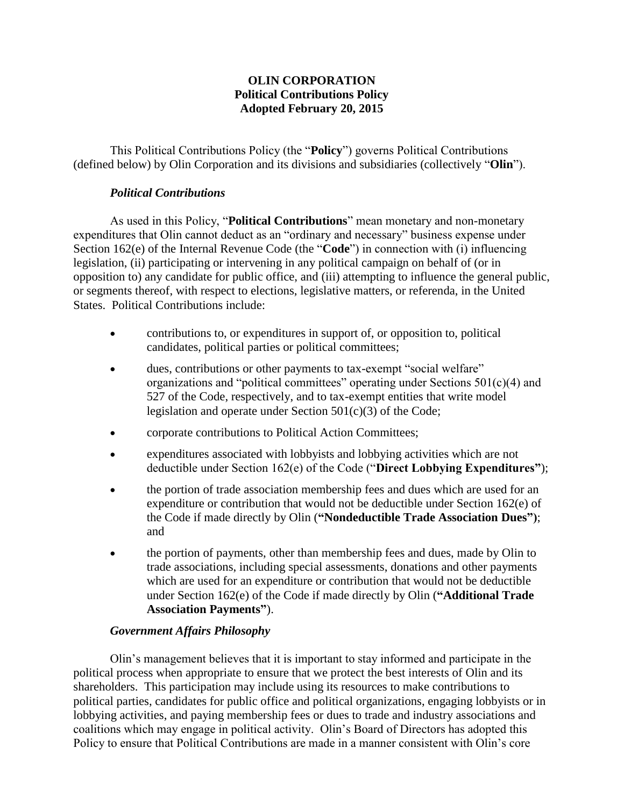### **OLIN CORPORATION Political Contributions Policy Adopted February 20, 2015**

This Political Contributions Policy (the "**Policy**") governs Political Contributions (defined below) by Olin Corporation and its divisions and subsidiaries (collectively "**Olin**").

### *Political Contributions*

As used in this Policy, "**Political Contributions**" mean monetary and non-monetary expenditures that Olin cannot deduct as an "ordinary and necessary" business expense under Section 162(e) of the Internal Revenue Code (the "**Code**") in connection with (i) influencing legislation, (ii) participating or intervening in any political campaign on behalf of (or in opposition to) any candidate for public office, and (iii) attempting to influence the general public, or segments thereof, with respect to elections, legislative matters, or referenda, in the United States. Political Contributions include:

- contributions to, or expenditures in support of, or opposition to, political candidates, political parties or political committees;
- dues, contributions or other payments to tax-exempt "social welfare" organizations and "political committees" operating under Sections  $501(c)(4)$  and 527 of the Code, respectively, and to tax-exempt entities that write model legislation and operate under Section 501(c)(3) of the Code;
- corporate contributions to Political Action Committees;
- expenditures associated with lobbyists and lobbying activities which are not deductible under Section 162(e) of the Code ("**Direct Lobbying Expenditures"**);
- the portion of trade association membership fees and dues which are used for an expenditure or contribution that would not be deductible under Section 162(e) of the Code if made directly by Olin (**"Nondeductible Trade Association Dues")**; and
- the portion of payments, other than membership fees and dues, made by Olin to trade associations, including special assessments, donations and other payments which are used for an expenditure or contribution that would not be deductible under Section 162(e) of the Code if made directly by Olin (**"Additional Trade Association Payments"**).

# *Government Affairs Philosophy*

Olin's management believes that it is important to stay informed and participate in the political process when appropriate to ensure that we protect the best interests of Olin and its shareholders. This participation may include using its resources to make contributions to political parties, candidates for public office and political organizations, engaging lobbyists or in lobbying activities, and paying membership fees or dues to trade and industry associations and coalitions which may engage in political activity. Olin's Board of Directors has adopted this Policy to ensure that Political Contributions are made in a manner consistent with Olin's core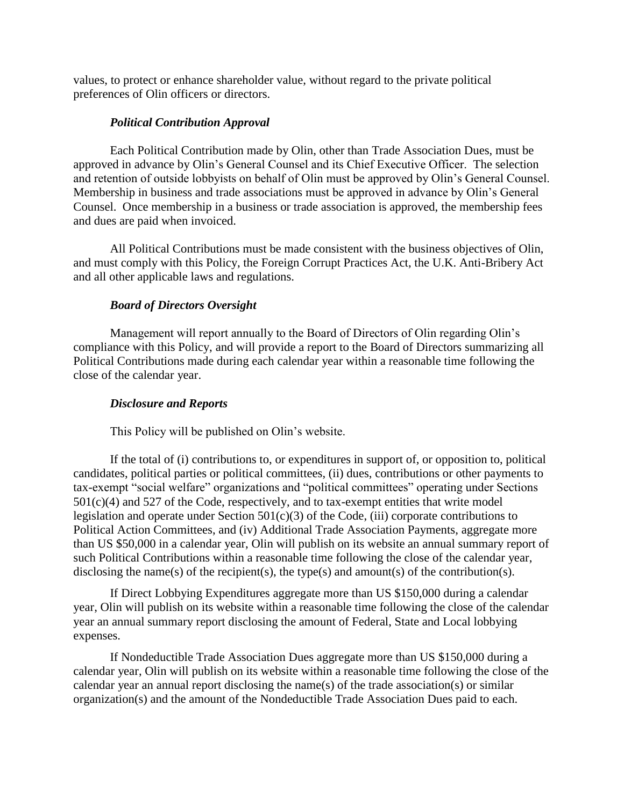values, to protect or enhance shareholder value, without regard to the private political preferences of Olin officers or directors.

#### *Political Contribution Approval*

Each Political Contribution made by Olin, other than Trade Association Dues, must be approved in advance by Olin's General Counsel and its Chief Executive Officer. The selection and retention of outside lobbyists on behalf of Olin must be approved by Olin's General Counsel. Membership in business and trade associations must be approved in advance by Olin's General Counsel. Once membership in a business or trade association is approved, the membership fees and dues are paid when invoiced.

All Political Contributions must be made consistent with the business objectives of Olin, and must comply with this Policy, the Foreign Corrupt Practices Act, the U.K. Anti-Bribery Act and all other applicable laws and regulations.

# *Board of Directors Oversight*

Management will report annually to the Board of Directors of Olin regarding Olin's compliance with this Policy, and will provide a report to the Board of Directors summarizing all Political Contributions made during each calendar year within a reasonable time following the close of the calendar year.

# *Disclosure and Reports*

This Policy will be published on Olin's website.

If the total of (i) contributions to, or expenditures in support of, or opposition to, political candidates, political parties or political committees, (ii) dues, contributions or other payments to tax-exempt "social welfare" organizations and "political committees" operating under Sections  $501(c)(4)$  and  $527$  of the Code, respectively, and to tax-exempt entities that write model legislation and operate under Section  $501(c)(3)$  of the Code, (iii) corporate contributions to Political Action Committees, and (iv) Additional Trade Association Payments, aggregate more than US \$50,000 in a calendar year, Olin will publish on its website an annual summary report of such Political Contributions within a reasonable time following the close of the calendar year, disclosing the name(s) of the recipient(s), the type(s) and amount(s) of the contribution(s).

If Direct Lobbying Expenditures aggregate more than US \$150,000 during a calendar year, Olin will publish on its website within a reasonable time following the close of the calendar year an annual summary report disclosing the amount of Federal, State and Local lobbying expenses.

If Nondeductible Trade Association Dues aggregate more than US \$150,000 during a calendar year, Olin will publish on its website within a reasonable time following the close of the calendar year an annual report disclosing the name(s) of the trade association(s) or similar organization(s) and the amount of the Nondeductible Trade Association Dues paid to each.